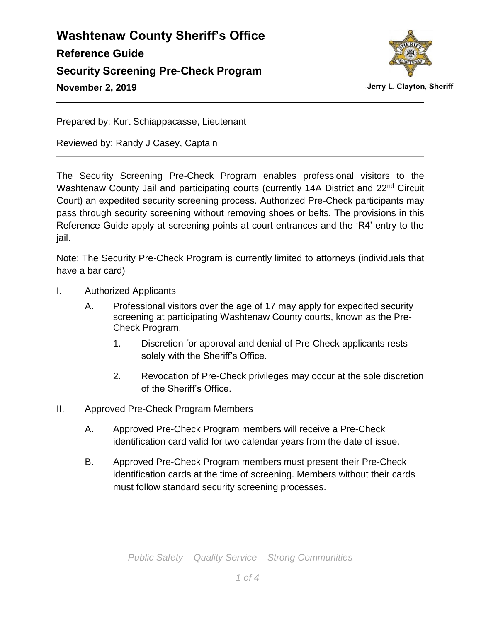

Jerry L. Clayton, Sheriff

Prepared by: Kurt Schiappacasse, Lieutenant

Reviewed by: Randy J Casey, Captain

The Security Screening Pre-Check Program enables professional visitors to the Washtenaw County Jail and participating courts (currently 14A District and 22<sup>nd</sup> Circuit Court) an expedited security screening process. Authorized Pre-Check participants may pass through security screening without removing shoes or belts. The provisions in this Reference Guide apply at screening points at court entrances and the 'R4' entry to the jail.

Note: The Security Pre-Check Program is currently limited to attorneys (individuals that have a bar card)

- I. Authorized Applicants
	- A. Professional visitors over the age of 17 may apply for expedited security screening at participating Washtenaw County courts, known as the Pre-Check Program.
		- 1. Discretion for approval and denial of Pre-Check applicants rests solely with the Sheriff's Office.
		- 2. Revocation of Pre-Check privileges may occur at the sole discretion of the Sheriff's Office.
- II. Approved Pre-Check Program Members
	- A. Approved Pre-Check Program members will receive a Pre-Check identification card valid for two calendar years from the date of issue.
	- B. Approved Pre-Check Program members must present their Pre-Check identification cards at the time of screening. Members without their cards must follow standard security screening processes.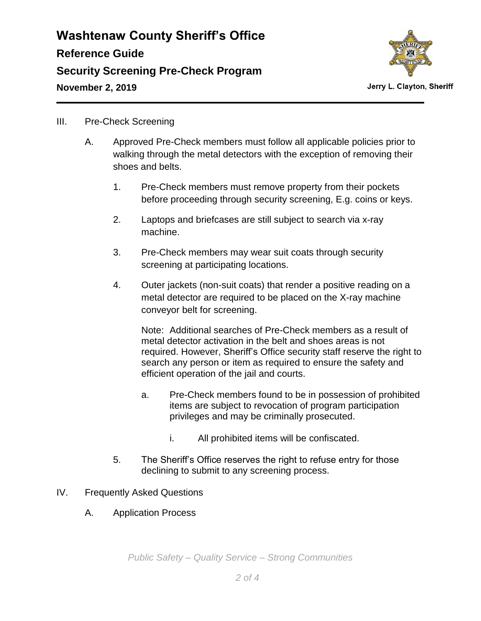

#### III. Pre-Check Screening

- A. Approved Pre-Check members must follow all applicable policies prior to walking through the metal detectors with the exception of removing their shoes and belts.
	- 1. Pre-Check members must remove property from their pockets before proceeding through security screening, E.g. coins or keys.
	- 2. Laptops and briefcases are still subject to search via x-ray machine.
	- 3. Pre-Check members may wear suit coats through security screening at participating locations.
	- 4. Outer jackets (non-suit coats) that render a positive reading on a metal detector are required to be placed on the X-ray machine conveyor belt for screening.

Note: Additional searches of Pre-Check members as a result of metal detector activation in the belt and shoes areas is not required. However, Sheriff's Office security staff reserve the right to search any person or item as required to ensure the safety and efficient operation of the jail and courts.

- a. Pre-Check members found to be in possession of prohibited items are subject to revocation of program participation privileges and may be criminally prosecuted.
	- i. All prohibited items will be confiscated.
- 5. The Sheriff's Office reserves the right to refuse entry for those declining to submit to any screening process.
- IV. Frequently Asked Questions
	- A. Application Process

*Public Safety – Quality Service – Strong Communities*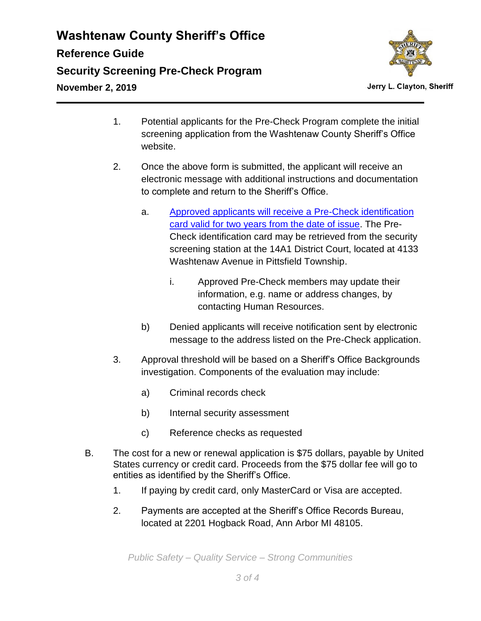

- 1. Potential applicants for the Pre-Check Program complete the initial screening application from the Washtenaw County Sheriff's Office website.
- 2. Once the above form is submitted, the applicant will receive an electronic message with additional instructions and documentation to complete and return to the Sheriff's Office.
	- a. [Approved applicants will receive a Pre-Check identification](https://powerdms.com/docs/revisions/1991521)  card valid for two years [from the date of issue.](https://powerdms.com/docs/revisions/1991521) The Pre-Check identification card may be retrieved from the security screening station at the 14A1 District Court, located at 4133 Washtenaw Avenue in Pittsfield Township.
		- i. Approved Pre-Check members may update their information, e.g. name or address changes, by contacting Human Resources.
	- b) Denied applicants will receive notification sent by electronic message to the address listed on the Pre-Check application.
- 3. Approval threshold will be based on a Sheriff's Office Backgrounds investigation. Components of the evaluation may include:
	- a) Criminal records check
	- b) Internal security assessment
	- c) Reference checks as requested
- B. The cost for a new or renewal application is \$75 dollars, payable by United States currency or credit card. Proceeds from the \$75 dollar fee will go to entities as identified by the Sheriff's Office.
	- 1. If paying by credit card, only MasterCard or Visa are accepted.
	- 2. Payments are accepted at the Sheriff's Office Records Bureau, located at 2201 Hogback Road, Ann Arbor MI 48105.

*Public Safety – Quality Service – Strong Communities*